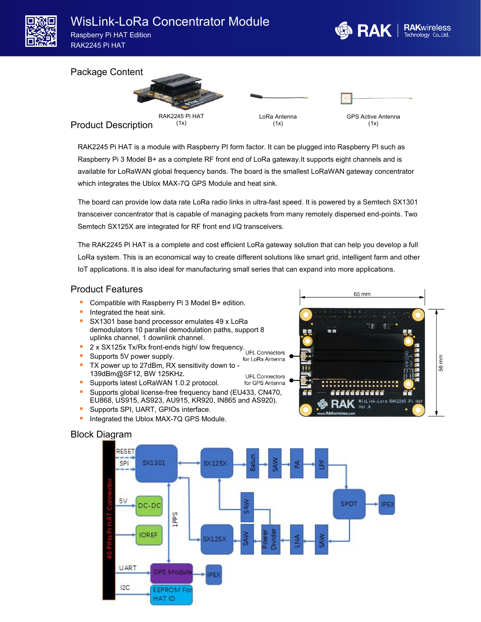

#### Package Content



RAK2245 Pi HAT is a module with Raspberry PI form factor. It can be plugged into Raspberry PI such as Raspberry Pi 3 Model B+ as a complete RF front end of LoRa gateway.It supports eight channels and is available for LoRaWAN global frequency bands. The board is the smallest LoRaWAN gateway concentrator which integrates the Ublox MAX-7Q GPS Module and heat sink.

The board can provide low data rate LoRa radio links in ultra-fast speed. It is powered by a Semtech SX1301 transceiver concentrator that is capable of managing packets from many remotely dispersed end-points.Two Semtech SX125X are integrated for RF front end I/Q transceivers.

The RAK2245 Pi HAT is a complete and cost efficient LoRa gateway solution that can help you develop a full LoRa system. This is an economical way to create different solutions like smart grid, intelligent farm and other IoT applications. It is also ideal for manufacturing small series that can expand into more applications.

### Product Features

- Compatible with Raspberry Pi 3 Model B+ edition.
- Integrated the heat sink.
- SX1301 base band processor emulates 49 x LoRa demodulators 10 parallel demodulation paths, support 8 uplinks channel, 1 downlink channel.
- 2 x SX125x Tx/Rx front-ends high/ low frequency. 2 x SX125x Tx/Rx front-ends high/ low frequency.
- **Supports 5V power supply.**
- Supports 5V power supply.<br>■ TX power up to 27dBm, RX sensitivity down to -139dBm@SF12, BW 125KHz. UFL Connectors
- **Supports latest LoRaWAN 1.0.2 protocol.** for GPS Antenna
- 
- Supports global license-free frequency band (EU433, CN470, EU868, US915, AS923, AU915, KR920, IN865 and AS920).
- Supports SPI, UART, GPIOs interface.
- **Integrated the Ublox MAX-7Q GPS Module.**

# 65 mm **書** 56 mm 8888888 s -Lorg RAK2245 Pi WisLink Hot